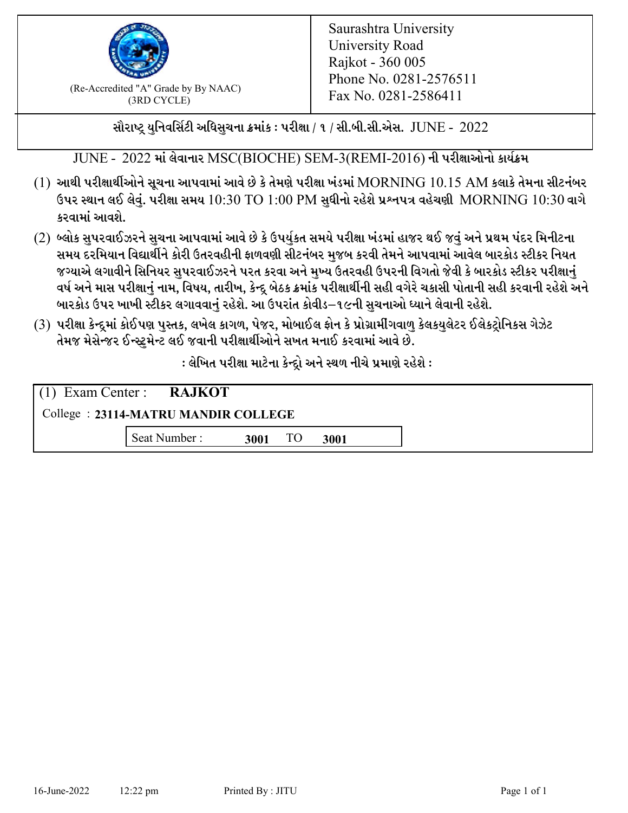

 $F_{\text{R}}$  (Re-Accredited "A" Grade by By NAAC)<br>(3PD CVCLE)<br> $F_{\text{R}}$  No. 0281-2586411 (3RD CYCLE)

સૌરાષ્ટ્ર યુનિવર્સિટી અધિસુચના ક્રમાંક : પરીક્ષા / ૧ / સી.બી.સી.એસ.  $\,$  JUNE -  $\,2022$ 

JUNE - 2022 માં લેવાનાર MSC(BIOCHE) SEM-3(REMI-2016) ની પરીક્ષાઓનો કાર્યક્રમ

- $(1)$  આથી પરીક્ષાર્થીઓને સૂચના આપવામાં આવે છે કે તેમણે પરીક્ષા ખંડમાં  $\operatorname{MORNING}$   $10.15$   $\operatorname{AM}$  કલાકે તેમના સીટનંબર ઉપર સ્થાન લઈ લેવું. પરીક્ષા સમય  $10:30 \text{ TO } 1:00 \text{ PM}$  સુધીનો રહેશે પ્રશ્નપત્ર વહેચણી  $\text{MORNING } 10:30$  વાગે કરવામાં આવશે.
- (2) બ્લોક સુપરવાઈઝરને સુચના આપવામાં આવે છે કે ઉપર્યુકત સમયે પરીક્ષા ખંડમાં હાજર થઈ જવું અને પ્રથમ પંદર મિનીટના સમય દરમિયાન વિદ્યાર્થીને કોરી ઉતરવહીની ફાળવણી સીટનંબર મજબ કરવી તેમને આપવામાં આવેલ બારકોડ સ્ટીકર નિયત જગ્યાએ લગાવીને સિનિયર સુપરવાઈઝરને પરત કરવા અને મુખ્ય ઉતરવહી ઉપરની વિગતો જેવી કે બારકોડ સ્ટીકર પરીક્ષ<u>ાન</u>ં વર્ષ અને માસ પરીક્ષાનું નામ, વિષય, તારીખ, કેન્દ્ર બેઠક ક્રમાંક પરીક્ષાર્થીની સહી વગેરે ચકાસી પોતાની સહી કરવાની રહેશે અને બારકોડ ઉપર ખાખી સ્ટીકર લગાવવાનં રહેશે. આ ઉપરાંત કોવીડ–૧૯ની સચનાઓ ધ્યાને લેવાની રહેશે.
- (3) પરીક્ષા કેન્દ્રમાં કોઈપણ પુસ્તક, લખેલ કાગળ, પેજર, મોબાઈલ ફોન કે પ્રોગ્રામીંગવાળુ કેલકયુલેટર ઈલેકટ્રોનિકસ ગેઝેટ તેમજ મેસેન્જર ઈન્સ્ટમેન્ટ લઈ જવાની પરીક્ષાર્થીઓને સખત મનાઈ કરવામાં આવે છે.

: લેખિત પરીક્ષા માટેના કેન્દ્દો અને સ્થળ નીચે પ્રમાણે રહેશે :

|                                     | $(1)$ Exam Center : <b>RAJKOT</b> |      |  |      |  |  |
|-------------------------------------|-----------------------------------|------|--|------|--|--|
| College: 23114-MATRU MANDIR COLLEGE |                                   |      |  |      |  |  |
|                                     | Seat Number:                      | 3001 |  | 3001 |  |  |